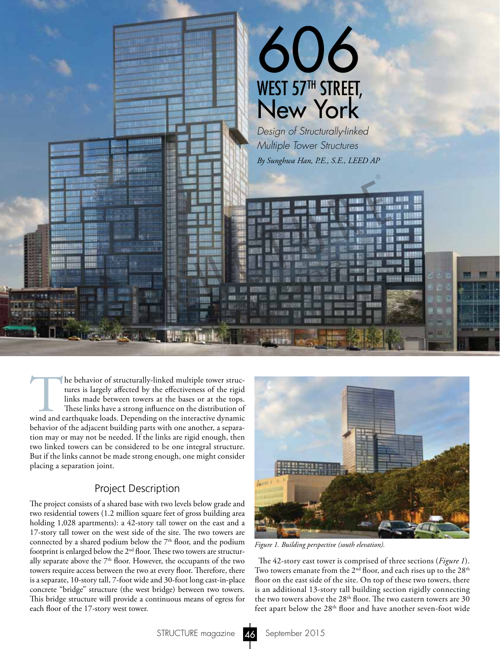

The behavior of structurally-linked multiple tower structures is largely affected by the effectiveness of the rigid links made between towers at the bases or at the tops.<br>These links have a strong influence on the distribu tures is largely affected by the effectiveness of the rigid links made between towers at the bases or at the tops. These links have a strong influence on the distribution of behavior of the adjacent building parts with one another, a separation may or may not be needed. If the links are rigid enough, then two linked towers can be considered to be one integral structure. But if the links cannot be made strong enough, one might consider placing a separation joint.

#### Project Description

The project consists of a shared base with two levels below grade and two residential towers (1.2 million square feet of gross building area holding 1,028 apartments): a 42-story tall tower on the east and a 17-story tall tower on the west side of the site. The two towers are connected by a shared podium below the  $7<sup>th</sup>$  floor, and the podium footprint is enlarged below the  $2<sup>nd</sup>$  floor. These two towers are structurally separate above the  $7<sup>th</sup>$  floor. However, the occupants of the two towers require access between the two at every floor. Therefore, there is a separate, 10-story tall, 7-foot wide and 30-foot long cast-in-place concrete "bridge" structure (the west bridge) between two towers. This bridge structure will provide a continuous means of egress for each floor of the 17-story west tower.



*Figure 1. Building perspective (south elevation).*

The 42-story east tower is comprised of three sections (*Figure 1*). Two towers emanate from the 2<sup>nd</sup> floor, and each rises up to the 28<sup>th</sup> floor on the east side of the site. On top of these two towers, there is an additional 13-story tall building section rigidly connecting the two towers above the  $28<sup>th</sup>$  floor. The two eastern towers are 30 feet apart below the 28<sup>th</sup> floor and have another seven-foot wide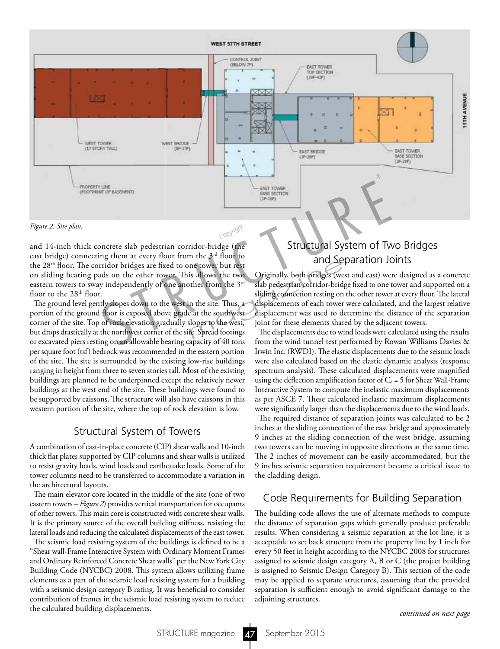

*Figure 2. Site plan.*

and 14-inch thick concrete slab pedestrian corridor-bridge (the east bridge) connecting them at every floor from the  $3<sup>rd</sup>$  floor to the 28<sup>th</sup> floor. The corridor bridges are fixed to one tower but rest on sliding bearing pads on the other tower. This allows the two eastern towers to sway independently of one another from the  $3<sup>rd</sup>$ floor to the  $28<sup>th</sup>$  floor.

The ground level gently slopes down to the west in the site. Thus, a portion of the ground floor is exposed above grade at the southwest corner of the site. Top of rock elevation gradually slopes to the west, but drops drastically at the northwest corner of the site. Spread footings or excavated piers resting on an allowable bearing capacity of 40 tons per square foot (tsf) bedrock was recommended in the eastern portion of the site. The site is surrounded by the existing low-rise buildings ranging in height from three to seven stories tall. Most of the existing buildings are planned to be underpinned except the relatively newer buildings at the west end of the site. These buildings were found to be supported by caissons. The structure will also have caissons in this western portion of the site, where the top of rock elevation is low.

#### Structural System of Towers

A combination of cast-in-place concrete (CIP) shear walls and 10-inch thick flat plates supported by CIP columns and shear walls is utilized to resist gravity loads, wind loads and earthquake loads. Some of the tower columns need to be transferred to accommodate a variation in the architectural layouts.

The main elevator core located in the middle of the site (one of two eastern towers – *Figure 2*) provides vertical transportation for occupants of other towers. This main core is constructed with concrete shear walls. It is the primary source of the overall building stiffness, resisting the lateral loads and reducing the calculated displacements of the east tower.

The seismic load resisting system of the buildings is defined to be a "Shear wall-Frame Interactive System with Ordinary Moment Frames and Ordinary Reinforced Concrete Shear walls" per the New York City Building Code (NYCBC) 2008. This system allows utilizing frame elements as a part of the seismic load resisting system for a building with a seismic design category B rating. It was beneficial to consider contribution of frames in the seismic load resisting system to reduce the calculated building displacements.

## Structural System of Two Bridges and Separation Joints

Originally, both bridges (west and east) were designed as a concrete slab pedestrian corridor-bridge fixed to one tower and supported on a sliding connection resting on the other tower at every floor. The lateral displacements of each tower were calculated, and the largest relative displacement was used to determine the distance of the separation joint for these elements shared by the adjacent towers. allows the two<br>
si allows the two<br>
originally, both bridges (we<br>
sidding connection resting on<br>
n the site. Thus, a<br>
displacements of each tower<br>
e at the southwest<br>
displacement was used to de<br>
shopes to the west,<br>
joint

The displacements due to wind loads were calculated using the results from the wind tunnel test performed by Rowan Williams Davies & Irwin Inc. (RWDI). The elastic displacements due to the seismic loads were also calculated based on the elastic dynamic analysis (response spectrum analysis). These calculated displacements were magnified using the deflection amplification factor of  $C_d = 5$  for Shear Wall-Frame Interactive System to compute the inelastic maximum displacements as per ASCE 7. These calculated inelastic maximum displacements were significantly larger than the displacements due to the wind loads.

The required distance of separation joints was calculated to be 2 inches at the sliding connection of the east bridge and approximately 9 inches at the sliding connection of the west bridge, assuming two towers can be moving in opposite directions at the same time. The 2 inches of movement can be easily accommodated, but the 9 inches seismic separation requirement became a critical issue to the cladding design.

### Code Requirements for Building Separation

The building code allows the use of alternate methods to compute the distance of separation gaps which generally produce preferable results. When considering a seismic separation at the lot line, it is acceptable to set back structure from the property line by 1 inch for every 50 feet in height according to the NYCBC 2008 for structures assigned to seismic design category A, B or C (the project building is assigned to Seismic Design Category B). This section of the code may be applied to separate structures, assuming that the provided separation is sufficient enough to avoid significant damage to the adjoining structures.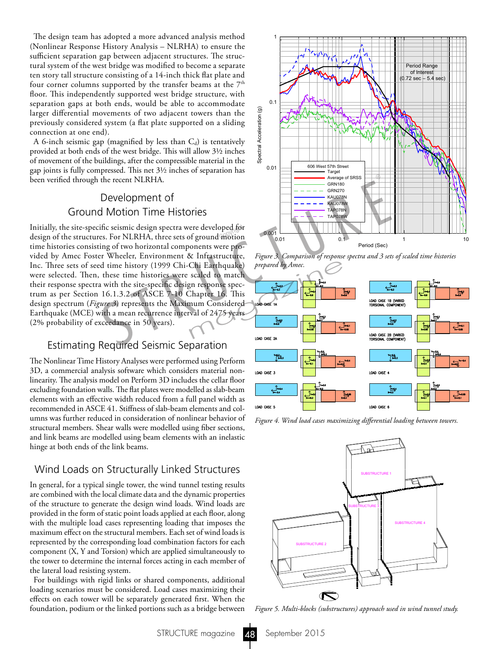The design team has adopted a more advanced analysis method (Nonlinear Response History Analysis – NLRHA) to ensure the sufficient separation gap between adjacent structures. The structural system of the west bridge was modified to become a separate ten story tall structure consisting of a 14-inch thick flat plate and four corner columns supported by the transfer beams at the  $7<sup>th</sup>$ floor. This independently supported west bridge structure, with separation gaps at both ends, would be able to accommodate larger differential movements of two adjacent towers than the previously considered system (a flat plate supported on a sliding connection at one end).

A 6-inch seismic gap (magnified by less than  $C_d$ ) is tentatively provided at both ends of the west bridge. This will allow 3½ inches of movement of the buildings, after the compressible material in the gap joints is fully compressed. This net 3½ inches of separation has been verified through the recent NLRHA.

## Development of Ground Motion Time Histories

Initially, the site-specific seismic design spectra were developed for<br>design of the structures. For NLRHA, three sets of ground motion design of the structures. For NLRHA, three sets of ground motion time histories consisting of two horizontal components were provided by Amec Foster Wheeler, Environment & Infrastructure, Inc. Three sets of seed time history (1999 Chi-Chi Earthquake) were selected. Then, these time histories were scaled to match their response spectra with the site-specific design response spectrum as per Section 16.1.3.2 of ASCE 7-10 Chapter 16. This design spectrum (*Figure 3*) represents the Maximum Considered Earthquake (MCE) with a mean recurrence interval of 2475 years (2% probability of exceedance in 50 years). The recent NLRHA.<br>
The recent NLRHA.<br>
Development of<br>
S Motion Time Histories<br>
S The Saure of SRS<br>
S The Saure of SRS<br>
Ifte seismic design spectra were developed for<br>
s For NLRHA, three sets of ground motion<br>
ing of two h

#### Estimating Required Seismic Separation

The Nonlinear Time History Analyses were performed using Perform 3D, a commercial analysis software which considers material nonlinearity. The analysis model on Perform 3D includes the cellar floor excluding foundation walls. The flat plates were modelled as slab-beam elements with an effective width reduced from a full panel width as recommended in ASCE 41. Stiffness of slab-beam elements and columns was further reduced in consideration of nonlinear behavior of structural members. Shear walls were modelled using fiber sections, and link beams are modelled using beam elements with an inelastic hinge at both ends of the link beams.

#### Wind Loads on Structurally Linked Structures

In general, for a typical single tower, the wind tunnel testing results are combined with the local climate data and the dynamic properties of the structure to generate the design wind loads. Wind loads are provided in the form of static point loads applied at each floor, along with the multiple load cases representing loading that imposes the maximum effect on the structural members. Each set of wind loads is represented by the corresponding load combination factors for each component (X, Y and Torsion) which are applied simultaneously to the tower to determine the internal forces acting in each member of the lateral load resisting system.

For buildings with rigid links or shared components, additional loading scenarios must be considered. Load cases maximizing their effects on each tower will be separately generated first. When the foundation, podium or the linked portions such as a bridge between



*Figure 3. Comparison of response spectra and 3 sets of scaled time histories prepared by Amec.*



*Figure 4. Wind load cases maximizing differential loading between towers.*



*Figure 5. Multi-blocks (substructures) approach used in wind tunnel study.*